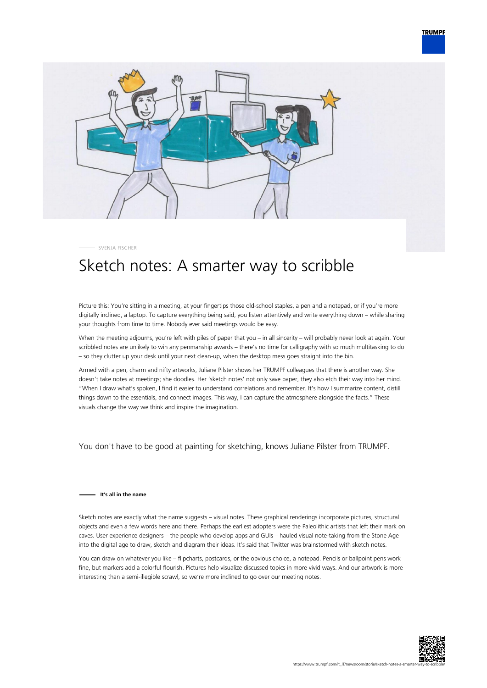



SVENJA FISCHER

## Sketch notes: A smarter way to scribble

Picture this: You're sitting in a meeting, at your fingertips those old-school staples, a pen and a notepad, or if you're more digitally inclined, a laptop. To capture everything being said, you listen attentively and write everything down – while sharing your thoughts from time to time. Nobody ever said meetings would be easy.

When the meeting adjourns, you're left with piles of paper that you – in all sincerity – will probably never look at again. Your scribbled notes are unlikely to win any penmanship awards – there's no time for calligraphy with so much multitasking to do – so they clutter up your desk until your next clean-up, when the desktop mess goes straight into the bin.

Armed with a pen, charm and nifty artworks, Juliane Pilster shows her TRUMPF colleagues that there is another way. She doesn't take notes at meetings; she doodles. Her 'sketch notes' not only save paper, they also etch their way into her mind. "When I draw what's spoken, I find it easier to understand correlations and remember. It's how I summarize content, distill things down to the essentials, and connect images. This way, I can capture the atmosphere alongside the facts." These visuals change the way we think and inspire the imagination.

You don't have to be good at painting for sketching, knows Juliane Pilster from TRUMPF.

## **It's all in the name**

Sketch notes are exactly what the name suggests – visual notes. These graphical renderings incorporate pictures, structural objects and even a few words here and there. Perhaps the earliest adopters were the Paleolithic artists that left their mark on caves. User experience designers – the people who develop apps and GUIs – hauled visual note-taking from the Stone Age into the digital age to draw, sketch and diagram their ideas. It's said that Twitter was brainstormed with sketch notes.

You can draw on whatever you like – flipcharts, postcards, or the obvious choice, a notepad. Pencils or ballpoint pens work fine, but markers add a colorful flourish. Pictures help visualize discussed topics in more vivid ways. And our artwork is more interesting than a semi-illegible scrawl, so we're more inclined to go over our meeting notes.